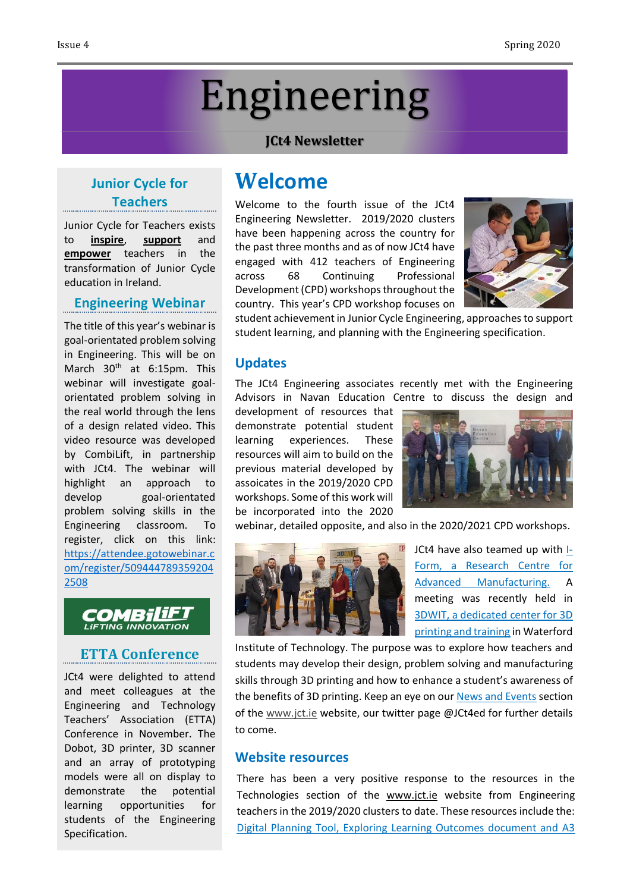# Engineering

#### **JCt4 Newsletter**

## **Junior Cycle for Teachers**

Junior Cycle for Teachers exists to **inspire**, **support** and **empower** teachers in the transformation of Junior Cycle education in Ireland.

#### **Engineering Webinar**

The title of this year's webinar is goal-orientated problem solving in Engineering. This will be on March 30<sup>th</sup> at 6:15pm. This webinar will investigate goalorientated problem solving in the real world through the lens of a design related video. This video resource was developed by CombiLift, in partnership with JCt4. The webinar will highlight an approach to develop goal-orientated problem solving skills in the Engineering classroom. To register, click on this link: [https://attendee.gotowebinar.c](https://attendee.gotowebinar.com/register/5094447893592042508) [om/register/509444789359204](https://attendee.gotowebinar.com/register/5094447893592042508) [2508](https://attendee.gotowebinar.com/register/5094447893592042508)

#### COMBiliF1 **LIFTING INNOVATION**

### **ETTA Conference**

JCt4 were delighted to attend and meet colleagues at the Engineering and Technology Teachers' Association (ETTA) Conference in November. The Dobot, 3D printer, 3D scanner and an array of prototyping models were all on display to demonstrate the potential learning opportunities for students of the Engineering Specification.

# **Welcome**

Welcome to the fourth issue of the JCt4 Engineering Newsletter. 2019/2020 clusters have been happening across the country for the past three months and as of now JCt4 have engaged with 412 teachers of Engineering across 68 Continuing Professional Development(CPD) workshops throughout the country. This year's CPD workshop focuses on



student achievement in Junior Cycle Engineering, approaches to support student learning, and planning with the Engineering specification.

#### **Updates**

The JCt4 Engineering associates recently met with the Engineering Advisors in Navan Education Centre to discuss the design and

development of resources that demonstrate potential student learning experiences. These resources will aim to build on the previous material developed by assoicates in the 2019/2020 CPD workshops. Some of this work will be incorporated into the 2020



webinar, detailed opposite, and also in the 2020/2021 CPD workshops.



JCt4 have also teamed up with [I-](http://www.i-form.ie/)Form, a [Research](http://www.i-form.ie/) Centre for Advanced [Manufacturing.](http://www.i-form.ie/) A meeting was recently held in 3DWIT, a [dedicated](https://www.3dwit.ie/) center for 3D [printing](https://www.3dwit.ie/) and training in Waterford

Institute of Technology. The purpose was to explore how teachers and students may develop their design, problem solving and manufacturing skills through 3D printing and how to enhance a student's awareness of the benefits of 3D printing. Keep an eye on our **News and [Events](https://www.jct.ie/technologies/news_events)** section of the [www.jct.ie](http://www.jct.ie/) website, our twitter page @JCt4ed for further details to come.

#### **Website resources**

There has been a very positive response to the resources in the Technologies section of the [www.jct.ie](http://www.jct.ie/) website from Engineering teachers in the 2019/2020 clusters to date. These resources include the: Digital Planning Tool, Exploring Learning [Outcomes](https://www.jct.ie/technologies/planning_engineering) document and A3